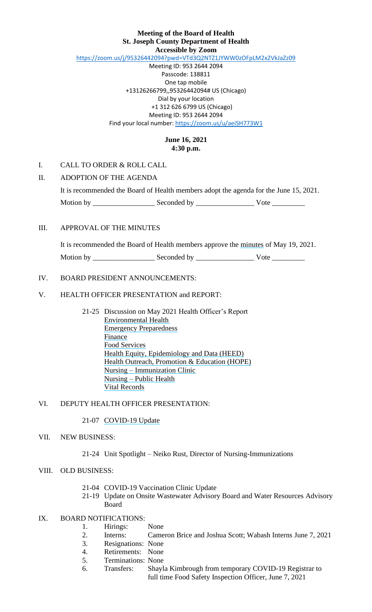## **Meeting of the Board of Health St. Joseph County Department of Health Accessible by Zoom**

<https://zoom.us/j/95326442094?pwd=VTd3Q2NTZ1JYWW0zOFpLM2x2VkJaZz09>

Meeting ID: 953 2644 2094 Passcode: 138811 One tap mobile +13126266799,,95326442094# US (Chicago) Dial by your location +1 312 626 6799 US (Chicago) Meeting ID: 953 2644 2094 Find your local number[: https://zoom.us/u/aeiSH773W1](https://zoom.us/u/aeiSH773W1)

## **June 16, 2021 4:30 p.m.**

## I. CALL TO ORDER & ROLL CALL

## II. ADOPTION OF THE AGENDA

|           |             | It is recommended the Board of Health members adopt the agenda for the June 15, 2021. |  |
|-----------|-------------|---------------------------------------------------------------------------------------|--|
| Motion by | Seconded by | Vote                                                                                  |  |

#### III. APPROVAL OF THE MINUTES

It is recommended the Board of Health members approve the minutes of May 19, 2021.

Motion by \_\_\_\_\_\_\_\_\_\_\_\_\_\_\_\_\_ Seconded by \_\_\_\_\_\_\_\_\_\_\_\_\_\_\_\_ Vote \_\_\_\_\_\_\_\_\_

## IV. BOARD PRESIDENT ANNOUNCEMENTS:

### V. HEALTH OFFICER PRESENTATION and REPORT:

21-25 Discussion on May 2021 Health Officer's Report Environmental Health Emergency Preparedness Finance Food Services Health Equity, Epidemiology and Data (HEED) Health Outreach, Promotion & Education (HOPE) Nursing – Immunization Clinic Nursing – Public Health Vital Records

## VI. DEPUTY HEALTH OFFICER PRESENTATION:

21-07 COVID-19 Update

## VII. NEW BUSINESS:

#### 21-24 Unit Spotlight – Neiko Rust, Director of Nursing-Immunizations

## VIII. OLD BUSINESS:

- 21-04 COVID-19 Vaccination Clinic Update
- 21-19 Update on Onsite Wastewater Advisory Board and Water Resources Advisory Board

## IX. BOARD NOTIFICATIONS:

- 1. Hirings: None
- 2. Interns: Cameron Brice and Joshua Scott; Wabash Interns June 7, 2021
- 3. Resignations: None
- 4. Retirements: None
- 5. Terminations: None
- 6. Transfers: Shayla Kimbrough from temporary COVID-19 Registrar to full time Food Safety Inspection Officer, June 7, 2021